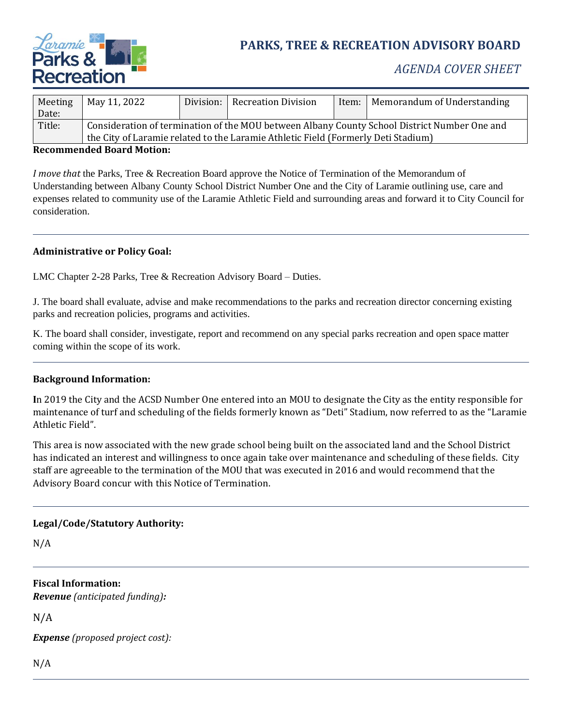

# **PARKS, TREE & RECREATION ADVISORY BOARD**

## *AGENDA COVER SHEET*

| Meeting | May 11, 2022                                                                                 |  | Division:   Recreation Division | Item: | Memorandum of Understanding |
|---------|----------------------------------------------------------------------------------------------|--|---------------------------------|-------|-----------------------------|
| Date:   |                                                                                              |  |                                 |       |                             |
| Title:  | Consideration of termination of the MOU between Albany County School District Number One and |  |                                 |       |                             |
|         | the City of Laramie related to the Laramie Athletic Field (Formerly Deti Stadium)            |  |                                 |       |                             |

#### **Recommended Board Motion:**

*I move that* the Parks, Tree & Recreation Board approve the Notice of Termination of the Memorandum of Understanding between Albany County School District Number One and the City of Laramie outlining use, care and expenses related to community use of the Laramie Athletic Field and surrounding areas and forward it to City Council for consideration.

#### **Administrative or Policy Goal:**

LMC Chapter 2-28 Parks, Tree & Recreation Advisory Board – Duties.

J. The board shall evaluate, advise and make recommendations to the parks and recreation director concerning existing parks and recreation policies, programs and activities.

K. The board shall consider, investigate, report and recommend on any special parks recreation and open space matter coming within the scope of its work.

#### **Background Information:**

**I**n 2019 the City and the ACSD Number One entered into an MOU to designate the City as the entity responsible for maintenance of turf and scheduling of the fields formerly known as "Deti" Stadium, now referred to as the "Laramie Athletic Field".

This area is now associated with the new grade school being built on the associated land and the School District has indicated an interest and willingness to once again take over maintenance and scheduling of these fields. City staff are agreeable to the termination of the MOU that was executed in 2016 and would recommend that the Advisory Board concur with this Notice of Termination.

#### **Legal/Code/Statutory Authority:**

N/A

**Fiscal Information:** *Revenue (anticipated funding):*

N/A

*Expense (proposed project cost):*

N/A